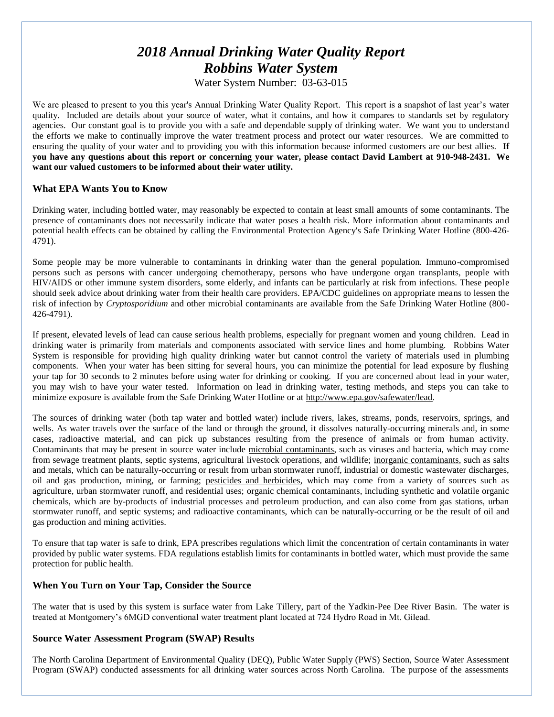# *2018 Annual Drinking Water Quality Report Robbins Water System*

Water System Number: 03-63-015

We are pleased to present to you this year's Annual Drinking Water Quality Report. This report is a snapshot of last year's water quality. Included are details about your source of water, what it contains, and how it compares to standards set by regulatory agencies. Our constant goal is to provide you with a safe and dependable supply of drinking water. We want you to understand the efforts we make to continually improve the water treatment process and protect our water resources. We are committed to ensuring the quality of your water and to providing you with this information because informed customers are our best allies. **If you have any questions about this report or concerning your water, please contact David Lambert at 910-948-2431. We want our valued customers to be informed about their water utility.** 

## **What EPA Wants You to Know**

Drinking water, including bottled water, may reasonably be expected to contain at least small amounts of some contaminants. The presence of contaminants does not necessarily indicate that water poses a health risk. More information about contaminants and potential health effects can be obtained by calling the Environmental Protection Agency's Safe Drinking Water Hotline (800-426- 4791).

Some people may be more vulnerable to contaminants in drinking water than the general population. Immuno-compromised persons such as persons with cancer undergoing chemotherapy, persons who have undergone organ transplants, people with HIV/AIDS or other immune system disorders, some elderly, and infants can be particularly at risk from infections. These people should seek advice about drinking water from their health care providers. EPA/CDC guidelines on appropriate means to lessen the risk of infection by *Cryptosporidium* and other microbial contaminants are available from the Safe Drinking Water Hotline (800- 426-4791).

If present, elevated levels of lead can cause serious health problems, especially for pregnant women and young children. Lead in drinking water is primarily from materials and components associated with service lines and home plumbing. Robbins Water System is responsible for providing high quality drinking water but cannot control the variety of materials used in plumbing components. When your water has been sitting for several hours, you can minimize the potential for lead exposure by flushing your tap for 30 seconds to 2 minutes before using water for drinking or cooking. If you are concerned about lead in your water, you may wish to have your water tested. Information on lead in drinking water, testing methods, and steps you can take to minimize exposure is available from the Safe Drinking Water Hotline or at [http://www.epa.gov/safewater/lead.](http://www.epa.gov/safewater/lead)

The sources of drinking water (both tap water and bottled water) include rivers, lakes, streams, ponds, reservoirs, springs, and wells. As water travels over the surface of the land or through the ground, it dissolves naturally-occurring minerals and, in some cases, radioactive material, and can pick up substances resulting from the presence of animals or from human activity. Contaminants that may be present in source water include microbial contaminants, such as viruses and bacteria, which may come from sewage treatment plants, septic systems, agricultural livestock operations, and wildlife; inorganic contaminants, such as salts and metals, which can be naturally-occurring or result from urban stormwater runoff, industrial or domestic wastewater discharges, oil and gas production, mining, or farming; pesticides and herbicides, which may come from a variety of sources such as agriculture, urban stormwater runoff, and residential uses; organic chemical contaminants, including synthetic and volatile organic chemicals, which are by-products of industrial processes and petroleum production, and can also come from gas stations, urban stormwater runoff, and septic systems; and radioactive contaminants, which can be naturally-occurring or be the result of oil and gas production and mining activities.

To ensure that tap water is safe to drink, EPA prescribes regulations which limit the concentration of certain contaminants in water provided by public water systems. FDA regulations establish limits for contaminants in bottled water, which must provide the same protection for public health.

### **When You Turn on Your Tap, Consider the Source**

The water that is used by this system is surface water from Lake Tillery, part of the Yadkin-Pee Dee River Basin. The water is treated at Montgomery's 6MGD conventional water treatment plant located at 724 Hydro Road in Mt. Gilead.

### **Source Water Assessment Program (SWAP) Results**

The North Carolina Department of Environmental Quality (DEQ), Public Water Supply (PWS) Section, Source Water Assessment Program (SWAP) conducted assessments for all drinking water sources across North Carolina. The purpose of the assessments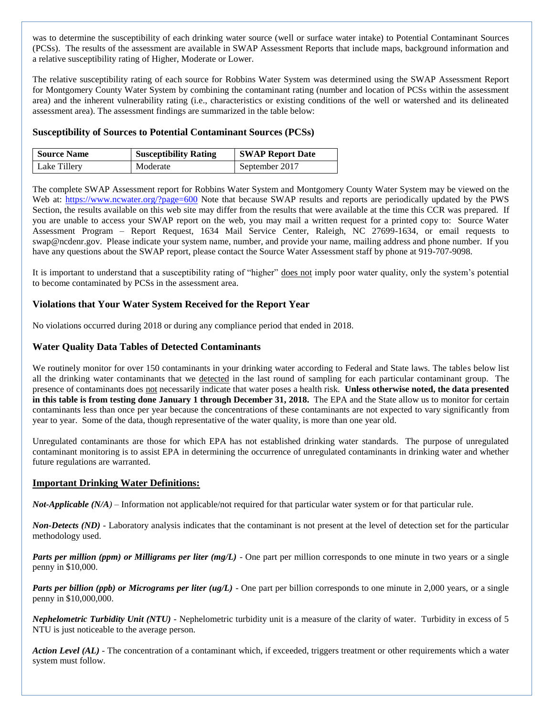was to determine the susceptibility of each drinking water source (well or surface water intake) to Potential Contaminant Sources (PCSs). The results of the assessment are available in SWAP Assessment Reports that include maps, background information and a relative susceptibility rating of Higher, Moderate or Lower.

The relative susceptibility rating of each source for Robbins Water System was determined using the SWAP Assessment Report for Montgomery County Water System by combining the contaminant rating (number and location of PCSs within the assessment area) and the inherent vulnerability rating (i.e., characteristics or existing conditions of the well or watershed and its delineated assessment area). The assessment findings are summarized in the table below:

## **Susceptibility of Sources to Potential Contaminant Sources (PCSs)**

| <b>Source Name</b> | <b>Susceptibility Rating</b> | <b>SWAP Report Date</b> |
|--------------------|------------------------------|-------------------------|
| Lake Tillery       | Moderate                     | September 2017          |

The complete SWAP Assessment report for Robbins Water System and Montgomery County Water System may be viewed on the Web at:<https://www.ncwater.org/?page=600> Note that because SWAP results and reports are periodically updated by the PWS Section, the results available on this web site may differ from the results that were available at the time this CCR was prepared. If you are unable to access your SWAP report on the web, you may mail a written request for a printed copy to: Source Water Assessment Program – Report Request, 1634 Mail Service Center, Raleigh, NC 27699-1634, or email requests to swap@ncdenr.gov. Please indicate your system name, number, and provide your name, mailing address and phone number. If you have any questions about the SWAP report, please contact the Source Water Assessment staff by phone at 919-707-9098.

It is important to understand that a susceptibility rating of "higher" does not imply poor water quality, only the system's potential to become contaminated by PCSs in the assessment area.

# **Violations that Your Water System Received for the Report Year**

No violations occurred during 2018 or during any compliance period that ended in 2018.

# **Water Quality Data Tables of Detected Contaminants**

We routinely monitor for over 150 contaminants in your drinking water according to Federal and State laws. The tables below list all the drinking water contaminants that we detected in the last round of sampling for each particular contaminant group. The presence of contaminants does not necessarily indicate that water poses a health risk. **Unless otherwise noted, the data presented in this table is from testing done January 1 through December 31, 2018.** The EPA and the State allow us to monitor for certain contaminants less than once per year because the concentrations of these contaminants are not expected to vary significantly from year to year. Some of the data, though representative of the water quality, is more than one year old.

Unregulated contaminants are those for which EPA has not established drinking water standards. The purpose of unregulated contaminant monitoring is to assist EPA in determining the occurrence of unregulated contaminants in drinking water and whether future regulations are warranted.

### **Important Drinking Water Definitions:**

*Not-Applicable (N/A)* – Information not applicable/not required for that particular water system or for that particular rule.

*Non-Detects (ND)* - Laboratory analysis indicates that the contaminant is not present at the level of detection set for the particular methodology used.

*Parts per million (ppm) or Milligrams per liter (mg/L)* - One part per million corresponds to one minute in two years or a single penny in \$10,000.

*Parts per billion (ppb) or Micrograms per liter (ug/L)* - One part per billion corresponds to one minute in 2,000 years, or a single penny in \$10,000,000.

*Nephelometric Turbidity Unit (NTU)* - Nephelometric turbidity unit is a measure of the clarity of water. Turbidity in excess of 5 NTU is just noticeable to the average person.

*Action Level (AL) -* The concentration of a contaminant which, if exceeded, triggers treatment or other requirements which a water system must follow.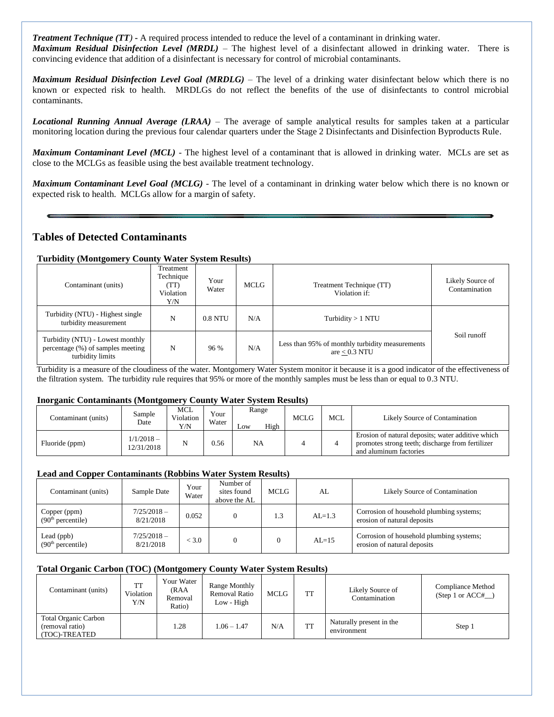*Treatment Technique (TT)* **-** A required process intended to reduce the level of a contaminant in drinking water. *Maximum Residual Disinfection Level (MRDL)* – The highest level of a disinfectant allowed in drinking water. There is convincing evidence that addition of a disinfectant is necessary for control of microbial contaminants.

*Maximum Residual Disinfection Level Goal (MRDLG)* – The level of a drinking water disinfectant below which there is no known or expected risk to health. MRDLGs do not reflect the benefits of the use of disinfectants to control microbial contaminants.

*Locational Running Annual Average (LRAA)* – The average of sample analytical results for samples taken at a particular monitoring location during the previous four calendar quarters under the Stage 2 Disinfectants and Disinfection Byproducts Rule.

*Maximum Contaminant Level (MCL)* - The highest level of a contaminant that is allowed in drinking water. MCLs are set as close to the MCLGs as feasible using the best available treatment technology.

*Maximum Contaminant Level Goal (MCLG)* - The level of a contaminant in drinking water below which there is no known or expected risk to health. MCLGs allow for a margin of safety.

# **Tables of Detected Contaminants**

#### **Turbidity (Montgomery County Water System Results)**

| Contaminant (units)                                                                       | Treatment<br>Technique<br>(TT)<br>Violation<br>Y/N | Your<br>Water | <b>MCLG</b> | Treatment Technique (TT)<br>Violation if:                          | Likely Source of<br>Contamination |
|-------------------------------------------------------------------------------------------|----------------------------------------------------|---------------|-------------|--------------------------------------------------------------------|-----------------------------------|
| Turbidity (NTU) - Highest single<br>turbidity measurement                                 | N                                                  | $0.8$ NTU     | N/A         | Turbidity $> 1$ NTU                                                |                                   |
| Turbidity (NTU) - Lowest monthly<br>percentage (%) of samples meeting<br>turbidity limits | N                                                  | 96 %          | N/A         | Less than 95% of monthly turbidity measurements<br>are $< 0.3$ NTU | Soil runoff                       |

Turbidity is a measure of the cloudiness of the water. Montgomery Water System monitor it because it is a good indicator of the effectiveness of the filtration system. The turbidity rule requires that 95% or more of the monthly samples must be less than or equal to 0.3 NTU.

#### **Inorganic Contaminants (Montgomery County Water System Results)**

| Contaminant (units) | Sample<br>Date            | MCL<br>Violation<br>Y/N | Your<br>Water | Range<br>High<br>Low | <b>MCLG</b> | MCL | Likely Source of Contamination                                                                                                  |
|---------------------|---------------------------|-------------------------|---------------|----------------------|-------------|-----|---------------------------------------------------------------------------------------------------------------------------------|
| Fluoride (ppm)      | $1/1/2018-$<br>12/31/2018 | N                       | 0.56          | <b>NA</b>            |             |     | Erosion of natural deposits; water additive which<br>promotes strong teeth; discharge from fertilizer<br>and aluminum factories |

### **Lead and Copper Contaminants (Robbins Water System Results)**

| Contaminant (units)                           | Sample Date                | Your<br>Water | Number of<br>sites found<br>above the AL | MCLG | AL         | Likely Source of Contamination                                          |
|-----------------------------------------------|----------------------------|---------------|------------------------------------------|------|------------|-------------------------------------------------------------------------|
| Copper (ppm)<br>(90 <sup>th</sup> percentile) | $7/25/2018 -$<br>8/21/2018 | 0.052         |                                          | 1.3  | $AI = 1.3$ | Corrosion of household plumbing systems;<br>erosion of natural deposits |
| Lead (ppb)<br>(90 <sup>th</sup> percentile)   | $7/25/2018-$<br>8/21/2018  | < 3.0         |                                          |      | $AI = 15$  | Corrosion of household plumbing systems;<br>erosion of natural deposits |

#### **Total Organic Carbon (TOC) (Montgomery County Water System Results)**

| Contaminant (units)                                             | <b>TT</b><br>Violation.<br>Y/N | Your Water<br>(RAA<br>Removal<br>Ratio) | Range Monthly<br><b>Removal Ratio</b><br>Low - High | MCLG | TT | Likely Source of<br>Contamination       | Compliance Method<br>(Step 1 or $ACC#$ |
|-----------------------------------------------------------------|--------------------------------|-----------------------------------------|-----------------------------------------------------|------|----|-----------------------------------------|----------------------------------------|
| <b>Total Organic Carbon</b><br>(removal ratio)<br>(TOC)-TREATED |                                | 1.28                                    | $1.06 - 1.47$                                       | N/A  | TT | Naturally present in the<br>environment | Step 1                                 |